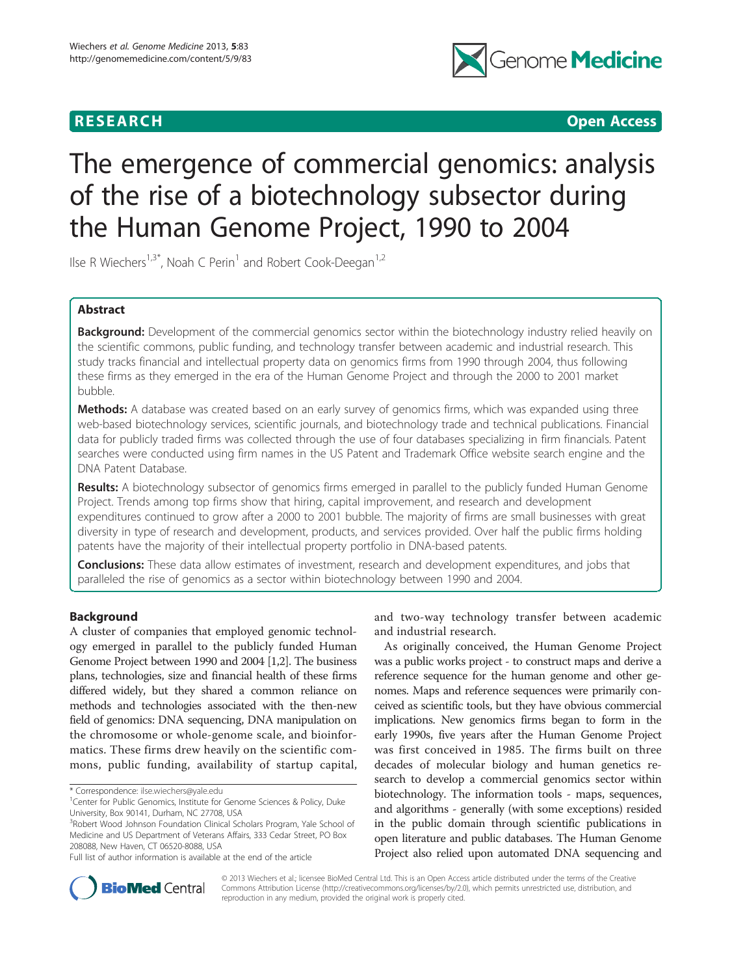## **RESEARCH RESEARCH CONSUMING ACCESS**



# The emergence of commercial genomics: analysis of the rise of a biotechnology subsector during the Human Genome Project, 1990 to 2004

Ilse R Wiechers<sup>1,3\*</sup>, Noah C Perin<sup>1</sup> and Robert Cook-Deegan<sup>1,2</sup>

## Abstract

Background: Development of the commercial genomics sector within the biotechnology industry relied heavily on the scientific commons, public funding, and technology transfer between academic and industrial research. This study tracks financial and intellectual property data on genomics firms from 1990 through 2004, thus following these firms as they emerged in the era of the Human Genome Project and through the 2000 to 2001 market bubble.

**Methods:** A database was created based on an early survey of genomics firms, which was expanded using three web-based biotechnology services, scientific journals, and biotechnology trade and technical publications. Financial data for publicly traded firms was collected through the use of four databases specializing in firm financials. Patent searches were conducted using firm names in the US Patent and Trademark Office website search engine and the DNA Patent Database.

Results: A biotechnology subsector of genomics firms emerged in parallel to the publicly funded Human Genome Project. Trends among top firms show that hiring, capital improvement, and research and development expenditures continued to grow after a 2000 to 2001 bubble. The majority of firms are small businesses with great diversity in type of research and development, products, and services provided. Over half the public firms holding patents have the majority of their intellectual property portfolio in DNA-based patents.

**Conclusions:** These data allow estimates of investment, research and development expenditures, and jobs that paralleled the rise of genomics as a sector within biotechnology between 1990 and 2004.

## Background

A cluster of companies that employed genomic technology emerged in parallel to the publicly funded Human Genome Project between 1990 and 2004 [[1,2](#page-8-0)]. The business plans, technologies, size and financial health of these firms differed widely, but they shared a common reliance on methods and technologies associated with the then-new field of genomics: DNA sequencing, DNA manipulation on the chromosome or whole-genome scale, and bioinformatics. These firms drew heavily on the scientific commons, public funding, availability of startup capital,

and two-way technology transfer between academic and industrial research.

As originally conceived, the Human Genome Project was a public works project - to construct maps and derive a reference sequence for the human genome and other genomes. Maps and reference sequences were primarily conceived as scientific tools, but they have obvious commercial implications. New genomics firms began to form in the early 1990s, five years after the Human Genome Project was first conceived in 1985. The firms built on three decades of molecular biology and human genetics research to develop a commercial genomics sector within biotechnology. The information tools - maps, sequences, and algorithms - generally (with some exceptions) resided in the public domain through scientific publications in open literature and public databases. The Human Genome Project also relied upon automated DNA sequencing and



© 2013 Wiechers et al.; licensee BioMed Central Ltd. This is an Open Access article distributed under the terms of the Creative Commons Attribution License [\(http://creativecommons.org/licenses/by/2.0\)](http://creativecommons.org/licenses/by/2.0), which permits unrestricted use, distribution, and reproduction in any medium, provided the original work is properly cited.

<sup>\*</sup> Correspondence: [ilse.wiechers@yale.edu](mailto:ilse.wiechers@yale.edu) <sup>1</sup>

<sup>&</sup>lt;sup>1</sup> Center for Public Genomics, Institute for Genome Sciences & Policy, Duke University, Box 90141, Durham, NC 27708, USA

<sup>&</sup>lt;sup>3</sup>Robert Wood Johnson Foundation Clinical Scholars Program, Yale School of Medicine and US Department of Veterans Affairs, 333 Cedar Street, PO Box 208088, New Haven, CT 06520-8088, USA

Full list of author information is available at the end of the article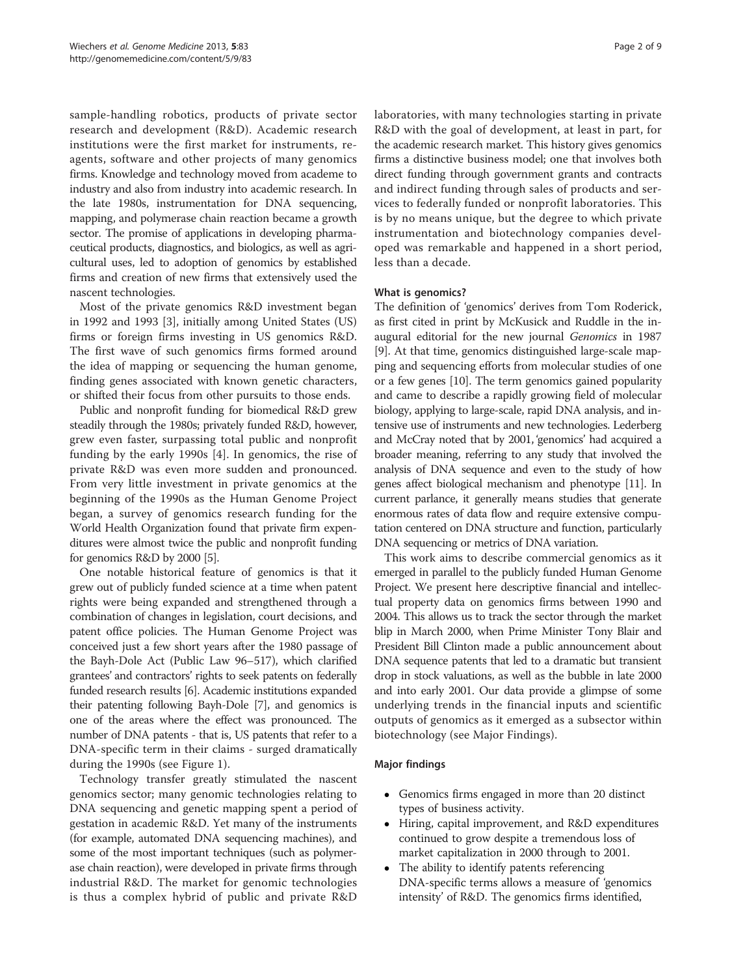sample-handling robotics, products of private sector research and development (R&D). Academic research institutions were the first market for instruments, reagents, software and other projects of many genomics firms. Knowledge and technology moved from academe to industry and also from industry into academic research. In the late 1980s, instrumentation for DNA sequencing, mapping, and polymerase chain reaction became a growth sector. The promise of applications in developing pharmaceutical products, diagnostics, and biologics, as well as agricultural uses, led to adoption of genomics by established firms and creation of new firms that extensively used the nascent technologies.

Most of the private genomics R&D investment began in 1992 and 1993 [\[3](#page-8-0)], initially among United States (US) firms or foreign firms investing in US genomics R&D. The first wave of such genomics firms formed around the idea of mapping or sequencing the human genome, finding genes associated with known genetic characters, or shifted their focus from other pursuits to those ends.

Public and nonprofit funding for biomedical R&D grew steadily through the 1980s; privately funded R&D, however, grew even faster, surpassing total public and nonprofit funding by the early 1990s [[4](#page-8-0)]. In genomics, the rise of private R&D was even more sudden and pronounced. From very little investment in private genomics at the beginning of the 1990s as the Human Genome Project began, a survey of genomics research funding for the World Health Organization found that private firm expenditures were almost twice the public and nonprofit funding for genomics R&D by 2000 [[5\]](#page-8-0).

One notable historical feature of genomics is that it grew out of publicly funded science at a time when patent rights were being expanded and strengthened through a combination of changes in legislation, court decisions, and patent office policies. The Human Genome Project was conceived just a few short years after the 1980 passage of the Bayh-Dole Act (Public Law 96–517), which clarified grantees' and contractors' rights to seek patents on federally funded research results [[6](#page-8-0)]. Academic institutions expanded their patenting following Bayh-Dole [[7\]](#page-8-0), and genomics is one of the areas where the effect was pronounced. The number of DNA patents - that is, US patents that refer to a DNA-specific term in their claims - surged dramatically during the 1990s (see Figure [1\)](#page-2-0).

Technology transfer greatly stimulated the nascent genomics sector; many genomic technologies relating to DNA sequencing and genetic mapping spent a period of gestation in academic R&D. Yet many of the instruments (for example, automated DNA sequencing machines), and some of the most important techniques (such as polymerase chain reaction), were developed in private firms through industrial R&D. The market for genomic technologies is thus a complex hybrid of public and private R&D laboratories, with many technologies starting in private R&D with the goal of development, at least in part, for the academic research market. This history gives genomics firms a distinctive business model; one that involves both direct funding through government grants and contracts and indirect funding through sales of products and services to federally funded or nonprofit laboratories. This is by no means unique, but the degree to which private instrumentation and biotechnology companies developed was remarkable and happened in a short period, less than a decade.

### What is genomics?

The definition of 'genomics' derives from Tom Roderick, as first cited in print by McKusick and Ruddle in the inaugural editorial for the new journal Genomics in 1987 [[9\]](#page-8-0). At that time, genomics distinguished large-scale mapping and sequencing efforts from molecular studies of one or a few genes [[10\]](#page-8-0). The term genomics gained popularity and came to describe a rapidly growing field of molecular biology, applying to large-scale, rapid DNA analysis, and intensive use of instruments and new technologies. Lederberg and McCray noted that by 2001, 'genomics' had acquired a broader meaning, referring to any study that involved the analysis of DNA sequence and even to the study of how genes affect biological mechanism and phenotype [[11](#page-8-0)]. In current parlance, it generally means studies that generate enormous rates of data flow and require extensive computation centered on DNA structure and function, particularly DNA sequencing or metrics of DNA variation.

This work aims to describe commercial genomics as it emerged in parallel to the publicly funded Human Genome Project. We present here descriptive financial and intellectual property data on genomics firms between 1990 and 2004. This allows us to track the sector through the market blip in March 2000, when Prime Minister Tony Blair and President Bill Clinton made a public announcement about DNA sequence patents that led to a dramatic but transient drop in stock valuations, as well as the bubble in late 2000 and into early 2001. Our data provide a glimpse of some underlying trends in the financial inputs and scientific outputs of genomics as it emerged as a subsector within biotechnology (see Major Findings).

#### Major findings

- Genomics firms engaged in more than 20 distinct types of business activity.
- Hiring, capital improvement, and R&D expenditures continued to grow despite a tremendous loss of market capitalization in 2000 through to 2001.
- The ability to identify patents referencing DNA-specific terms allows a measure of 'genomics intensity' of R&D. The genomics firms identified,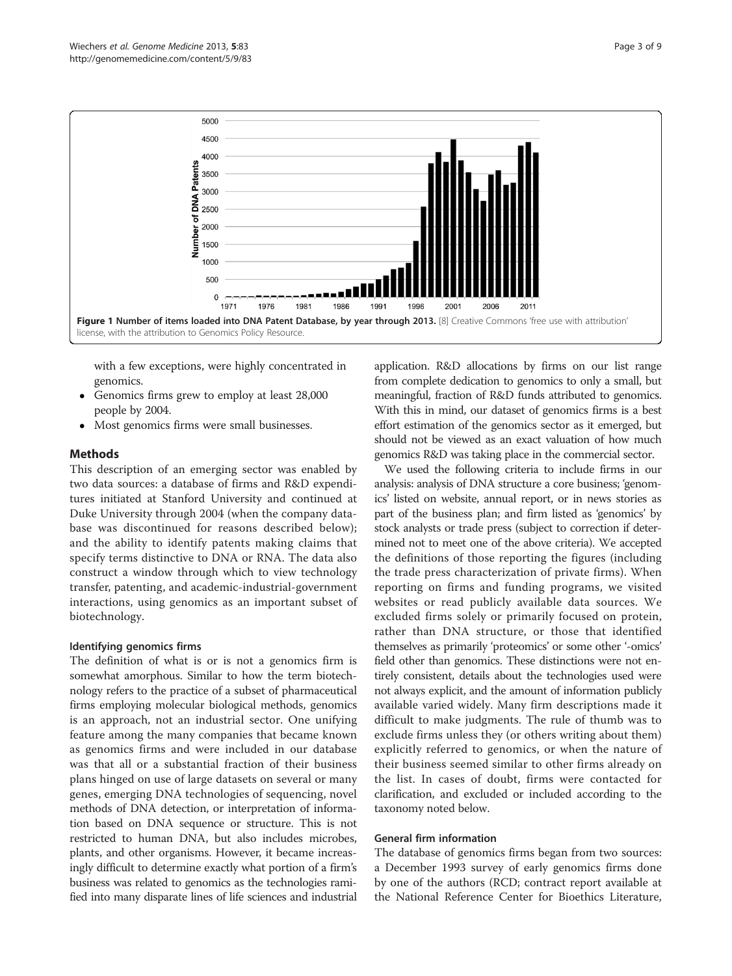<span id="page-2-0"></span>

with a few exceptions, were highly concentrated in genomics.

- Genomics firms grew to employ at least 28,000 people by 2004.
- Most genomics firms were small businesses.

### Methods

This description of an emerging sector was enabled by two data sources: a database of firms and R&D expenditures initiated at Stanford University and continued at Duke University through 2004 (when the company database was discontinued for reasons described below); and the ability to identify patents making claims that specify terms distinctive to DNA or RNA. The data also construct a window through which to view technology transfer, patenting, and academic-industrial-government interactions, using genomics as an important subset of biotechnology.

#### Identifying genomics firms

The definition of what is or is not a genomics firm is somewhat amorphous. Similar to how the term biotechnology refers to the practice of a subset of pharmaceutical firms employing molecular biological methods, genomics is an approach, not an industrial sector. One unifying feature among the many companies that became known as genomics firms and were included in our database was that all or a substantial fraction of their business plans hinged on use of large datasets on several or many genes, emerging DNA technologies of sequencing, novel methods of DNA detection, or interpretation of information based on DNA sequence or structure. This is not restricted to human DNA, but also includes microbes, plants, and other organisms. However, it became increasingly difficult to determine exactly what portion of a firm's business was related to genomics as the technologies ramified into many disparate lines of life sciences and industrial application. R&D allocations by firms on our list range from complete dedication to genomics to only a small, but meaningful, fraction of R&D funds attributed to genomics. With this in mind, our dataset of genomics firms is a best effort estimation of the genomics sector as it emerged, but should not be viewed as an exact valuation of how much genomics R&D was taking place in the commercial sector.

We used the following criteria to include firms in our analysis: analysis of DNA structure a core business; 'genomics' listed on website, annual report, or in news stories as part of the business plan; and firm listed as 'genomics' by stock analysts or trade press (subject to correction if determined not to meet one of the above criteria). We accepted the definitions of those reporting the figures (including the trade press characterization of private firms). When reporting on firms and funding programs, we visited websites or read publicly available data sources. We excluded firms solely or primarily focused on protein, rather than DNA structure, or those that identified themselves as primarily 'proteomics' or some other '-omics' field other than genomics. These distinctions were not entirely consistent, details about the technologies used were not always explicit, and the amount of information publicly available varied widely. Many firm descriptions made it difficult to make judgments. The rule of thumb was to exclude firms unless they (or others writing about them) explicitly referred to genomics, or when the nature of their business seemed similar to other firms already on the list. In cases of doubt, firms were contacted for clarification, and excluded or included according to the taxonomy noted below.

#### General firm information

The database of genomics firms began from two sources: a December 1993 survey of early genomics firms done by one of the authors (RCD; contract report available at the National Reference Center for Bioethics Literature,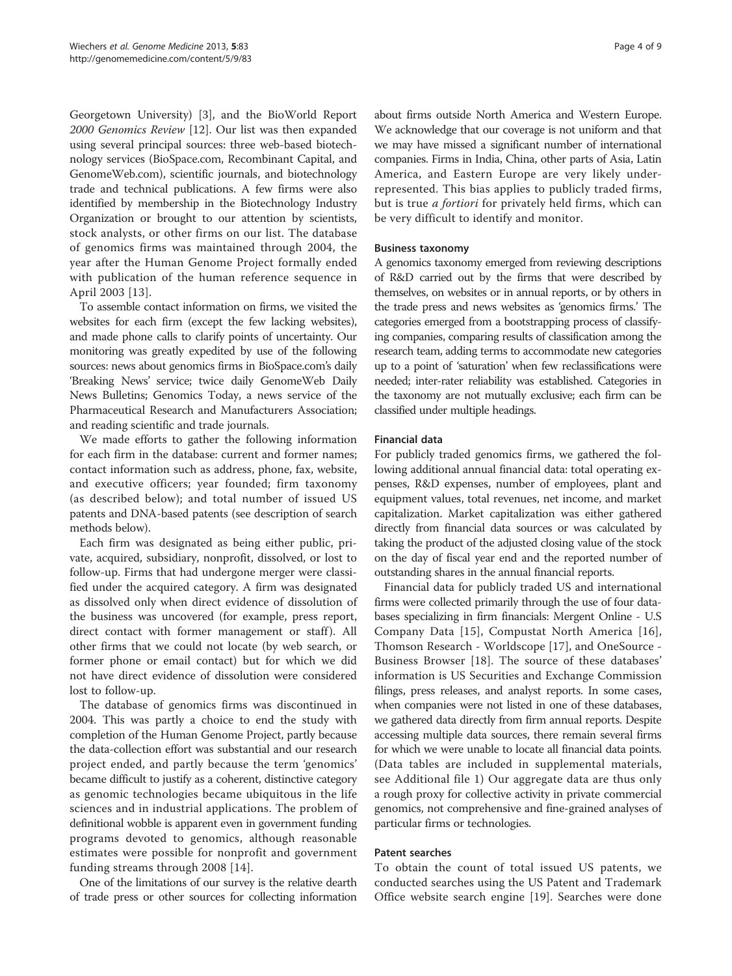Georgetown University) [[3\]](#page-8-0), and the BioWorld Report 2000 Genomics Review [\[12\]](#page-8-0). Our list was then expanded using several principal sources: three web-based biotechnology services (BioSpace.com, Recombinant Capital, and GenomeWeb.com), scientific journals, and biotechnology trade and technical publications. A few firms were also identified by membership in the Biotechnology Industry Organization or brought to our attention by scientists, stock analysts, or other firms on our list. The database of genomics firms was maintained through 2004, the year after the Human Genome Project formally ended with publication of the human reference sequence in April 2003 [[13\]](#page-8-0).

To assemble contact information on firms, we visited the websites for each firm (except the few lacking websites), and made phone calls to clarify points of uncertainty. Our monitoring was greatly expedited by use of the following sources: news about genomics firms in BioSpace.com's daily 'Breaking News' service; twice daily GenomeWeb Daily News Bulletins; Genomics Today, a news service of the Pharmaceutical Research and Manufacturers Association; and reading scientific and trade journals.

We made efforts to gather the following information for each firm in the database: current and former names; contact information such as address, phone, fax, website, and executive officers; year founded; firm taxonomy (as described below); and total number of issued US patents and DNA-based patents (see description of search [methods](#page-2-0) below).

Each firm was designated as being either public, private, acquired, subsidiary, nonprofit, dissolved, or lost to follow-up. Firms that had undergone merger were classified under the acquired category. A firm was designated as dissolved only when direct evidence of dissolution of the business was uncovered (for example, press report, direct contact with former management or staff). All other firms that we could not locate (by web search, or former phone or email contact) but for which we did not have direct evidence of dissolution were considered lost to follow-up.

The database of genomics firms was discontinued in 2004. This was partly a choice to end the study with completion of the Human Genome Project, partly because the data-collection effort was substantial and our research project ended, and partly because the term 'genomics' became difficult to justify as a coherent, distinctive category as genomic technologies became ubiquitous in the life sciences and in industrial applications. The problem of definitional wobble is apparent even in government funding programs devoted to genomics, although reasonable estimates were possible for nonprofit and government funding streams through 2008 [[14\]](#page-8-0).

One of the limitations of our survey is the relative dearth of trade press or other sources for collecting information

about firms outside North America and Western Europe. We acknowledge that our coverage is not uniform and that we may have missed a significant number of international companies. Firms in India, China, other parts of Asia, Latin America, and Eastern Europe are very likely underrepresented. This bias applies to publicly traded firms, but is true *a fortiori* for privately held firms, which can be very difficult to identify and monitor.

### Business taxonomy

A genomics taxonomy emerged from reviewing descriptions of R&D carried out by the firms that were described by themselves, on websites or in annual reports, or by others in the trade press and news websites as 'genomics firms.' The categories emerged from a bootstrapping process of classifying companies, comparing results of classification among the research team, adding terms to accommodate new categories up to a point of 'saturation' when few reclassifications were needed; inter-rater reliability was established. Categories in the taxonomy are not mutually exclusive; each firm can be classified under multiple headings.

### Financial data

For publicly traded genomics firms, we gathered the following additional annual financial data: total operating expenses, R&D expenses, number of employees, plant and equipment values, total revenues, net income, and market capitalization. Market capitalization was either gathered directly from financial data sources or was calculated by taking the product of the adjusted closing value of the stock on the day of fiscal year end and the reported number of outstanding shares in the annual financial reports.

Financial data for publicly traded US and international firms were collected primarily through the use of four databases specializing in firm financials: Mergent Online - U.S Company Data [[15\]](#page-8-0), Compustat North America [[16](#page-8-0)], Thomson Research - Worldscope [[17\]](#page-8-0), and OneSource - Business Browser [\[18](#page-8-0)]. The source of these databases' information is US Securities and Exchange Commission filings, press releases, and analyst reports. In some cases, when companies were not listed in one of these databases, we gathered data directly from firm annual reports. Despite accessing multiple data sources, there remain several firms for which we were unable to locate all financial data points. (Data tables are included in supplemental materials, see Additional file [1\)](#page-8-0) Our aggregate data are thus only a rough proxy for collective activity in private commercial genomics, not comprehensive and fine-grained analyses of particular firms or technologies.

## Patent searches

To obtain the count of total issued US patents, we conducted searches using the US Patent and Trademark Office website search engine [[19\]](#page-8-0). Searches were done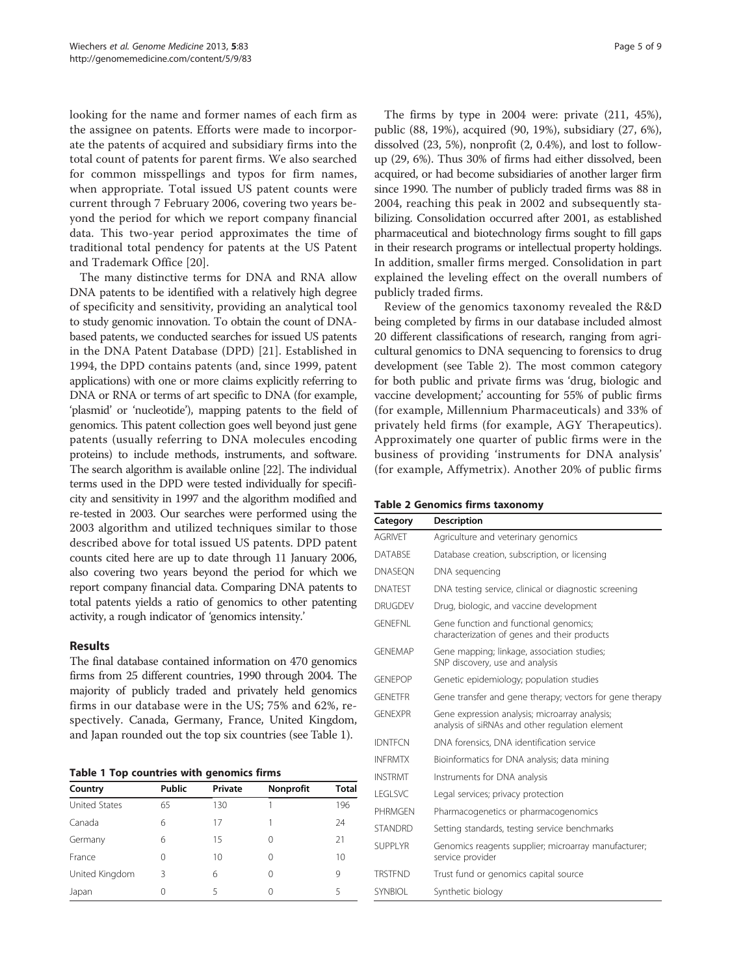looking for the name and former names of each firm as the assignee on patents. Efforts were made to incorporate the patents of acquired and subsidiary firms into the total count of patents for parent firms. We also searched for common misspellings and typos for firm names, when appropriate. Total issued US patent counts were current through 7 February 2006, covering two years beyond the period for which we report company financial data. This two-year period approximates the time of traditional total pendency for patents at the US Patent and Trademark Office [[20\]](#page-8-0).

The many distinctive terms for DNA and RNA allow DNA patents to be identified with a relatively high degree of specificity and sensitivity, providing an analytical tool to study genomic innovation. To obtain the count of DNAbased patents, we conducted searches for issued US patents in the DNA Patent Database (DPD) [[21\]](#page-8-0). Established in 1994, the DPD contains patents (and, since 1999, patent applications) with one or more claims explicitly referring to DNA or RNA or terms of art specific to DNA (for example, 'plasmid' or 'nucleotide'), mapping patents to the field of genomics. This patent collection goes well beyond just gene patents (usually referring to DNA molecules encoding proteins) to include methods, instruments, and software. The search algorithm is available online [\[22](#page-8-0)]. The individual terms used in the DPD were tested individually for specificity and sensitivity in 1997 and the algorithm modified and re-tested in 2003. Our searches were performed using the 2003 algorithm and utilized techniques similar to those described above for total issued US patents. DPD patent counts cited here are up to date through 11 January 2006, also covering two years beyond the period for which we report company financial data. Comparing DNA patents to total patents yields a ratio of genomics to other patenting activity, a rough indicator of 'genomics intensity.'

## Results

The final database contained information on 470 genomics firms from 25 different countries, 1990 through 2004. The majority of publicly traded and privately held genomics firms in our database were in the US; 75% and 62%, respectively. Canada, Germany, France, United Kingdom, and Japan rounded out the top six countries (see Table 1).

Table 1 Top countries with genomics firms

| Country              | <b>Public</b> | Private | <b>Nonprofit</b> | Total |
|----------------------|---------------|---------|------------------|-------|
| <b>United States</b> | 65            | 130     |                  | 196   |
| Canada               | 6             | 17      |                  | 24    |
| Germany              | 6             | 15      | 0                | 21    |
| France               | Ω             | 10      | 0                | 10    |
| United Kingdom       | 3             | 6       | 0                | 9     |
| Japan                | Ω             | 5       | 0                | 5     |

The firms by type in 2004 were: private (211, 45%), public (88, 19%), acquired (90, 19%), subsidiary (27, 6%), dissolved (23, 5%), nonprofit (2, 0.4%), and lost to followup (29, 6%). Thus 30% of firms had either dissolved, been acquired, or had become subsidiaries of another larger firm since 1990. The number of publicly traded firms was 88 in 2004, reaching this peak in 2002 and subsequently stabilizing. Consolidation occurred after 2001, as established pharmaceutical and biotechnology firms sought to fill gaps in their research programs or intellectual property holdings. In addition, smaller firms merged. Consolidation in part explained the leveling effect on the overall numbers of publicly traded firms.

Review of the genomics taxonomy revealed the R&D being completed by firms in our database included almost 20 different classifications of research, ranging from agricultural genomics to DNA sequencing to forensics to drug development (see Table 2). The most common category for both public and private firms was 'drug, biologic and vaccine development;' accounting for 55% of public firms (for example, Millennium Pharmaceuticals) and 33% of privately held firms (for example, AGY Therapeutics). Approximately one quarter of public firms were in the business of providing 'instruments for DNA analysis' (for example, Affymetrix). Another 20% of public firms

|  |  |  | Table 2 Genomics firms taxonomy |
|--|--|--|---------------------------------|
|--|--|--|---------------------------------|

| Category       | <b>Description</b>                                                                                |  |  |
|----------------|---------------------------------------------------------------------------------------------------|--|--|
| <b>AGRIVET</b> | Agriculture and veterinary genomics                                                               |  |  |
| <b>DATABSE</b> | Database creation, subscription, or licensing                                                     |  |  |
| <b>DNASEON</b> | DNA sequencing                                                                                    |  |  |
| <b>DNATEST</b> | DNA testing service, clinical or diagnostic screening                                             |  |  |
| <b>DRUGDEV</b> | Drug, biologic, and vaccine development                                                           |  |  |
| <b>GENEENI</b> | Gene function and functional genomics;<br>characterization of genes and their products            |  |  |
| <b>GFNFMAP</b> | Gene mapping; linkage, association studies;<br>SNP discovery, use and analysis                    |  |  |
| <b>GENEPOP</b> | Genetic epidemiology; population studies                                                          |  |  |
| <b>GENETER</b> | Gene transfer and gene therapy; vectors for gene therapy                                          |  |  |
| <b>GFNFXPR</b> | Gene expression analysis; microarray analysis;<br>analysis of siRNAs and other regulation element |  |  |
| <b>IDNTFCN</b> | DNA forensics, DNA identification service                                                         |  |  |
| <b>INFRMTX</b> | Bioinformatics for DNA analysis; data mining                                                      |  |  |
| <b>INSTRMT</b> | Instruments for DNA analysis                                                                      |  |  |
| <b>LEGLSVC</b> | Legal services; privacy protection                                                                |  |  |
| <b>PHRMGEN</b> | Pharmacogenetics or pharmacogenomics                                                              |  |  |
| <b>STANDRD</b> | Setting standards, testing service benchmarks                                                     |  |  |
| <b>SUPPLYR</b> | Genomics reagents supplier; microarray manufacturer;<br>service provider                          |  |  |
| <b>TRSTEND</b> | Trust fund or genomics capital source                                                             |  |  |
| <b>SYNBIOL</b> | Synthetic biology                                                                                 |  |  |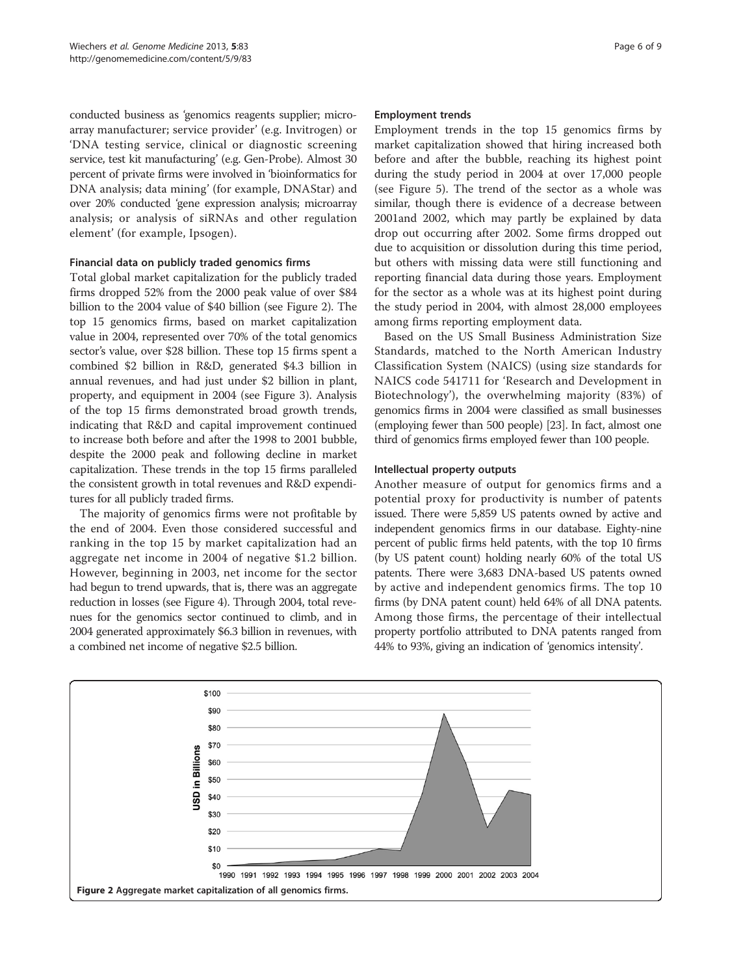conducted business as 'genomics reagents supplier; microarray manufacturer; service provider' (e.g. Invitrogen) or 'DNA testing service, clinical or diagnostic screening service, test kit manufacturing' (e.g. Gen-Probe). Almost 30 percent of private firms were involved in 'bioinformatics for DNA analysis; data mining' (for example, DNAStar) and over 20% conducted 'gene expression analysis; microarray analysis; or analysis of siRNAs and other regulation element' (for example, Ipsogen).

### Financial data on publicly traded genomics firms

Total global market capitalization for the publicly traded firms dropped 52% from the 2000 peak value of over \$84 billion to the 2004 value of \$40 billion (see Figure 2). The top 15 genomics firms, based on market capitalization value in 2004, represented over 70% of the total genomics sector's value, over \$28 billion. These top 15 firms spent a combined \$2 billion in R&D, generated \$4.3 billion in annual revenues, and had just under \$2 billion in plant, property, and equipment in 2004 (see Figure [3\)](#page-6-0). Analysis of the top 15 firms demonstrated broad growth trends, indicating that R&D and capital improvement continued to increase both before and after the 1998 to 2001 bubble, despite the 2000 peak and following decline in market capitalization. These trends in the top 15 firms paralleled the consistent growth in total revenues and R&D expenditures for all publicly traded firms.

The majority of genomics firms were not profitable by the end of 2004. Even those considered successful and ranking in the top 15 by market capitalization had an aggregate net income in 2004 of negative \$1.2 billion. However, beginning in 2003, net income for the sector had begun to trend upwards, that is, there was an aggregate reduction in losses (see Figure [4\)](#page-6-0). Through 2004, total revenues for the genomics sector continued to climb, and in 2004 generated approximately \$6.3 billion in revenues, with a combined net income of negative \$2.5 billion.

#### Employment trends

Employment trends in the top 15 genomics firms by market capitalization showed that hiring increased both before and after the bubble, reaching its highest point during the study period in 2004 at over 17,000 people (see Figure [5\)](#page-7-0). The trend of the sector as a whole was similar, though there is evidence of a decrease between 2001and 2002, which may partly be explained by data drop out occurring after 2002. Some firms dropped out due to acquisition or dissolution during this time period, but others with missing data were still functioning and reporting financial data during those years. Employment for the sector as a whole was at its highest point during the study period in 2004, with almost 28,000 employees among firms reporting employment data.

Based on the US Small Business Administration Size Standards, matched to the North American Industry Classification System (NAICS) (using size standards for NAICS code 541711 for 'Research and Development in Biotechnology'), the overwhelming majority (83%) of genomics firms in 2004 were classified as small businesses (employing fewer than 500 people) [[23](#page-8-0)]. In fact, almost one third of genomics firms employed fewer than 100 people.

## Intellectual property outputs

Another measure of output for genomics firms and a potential proxy for productivity is number of patents issued. There were 5,859 US patents owned by active and independent genomics firms in our database. Eighty-nine percent of public firms held patents, with the top 10 firms (by US patent count) holding nearly 60% of the total US patents. There were 3,683 DNA-based US patents owned by active and independent genomics firms. The top 10 firms (by DNA patent count) held 64% of all DNA patents. Among those firms, the percentage of their intellectual property portfolio attributed to DNA patents ranged from 44% to 93%, giving an indication of 'genomics intensity'.

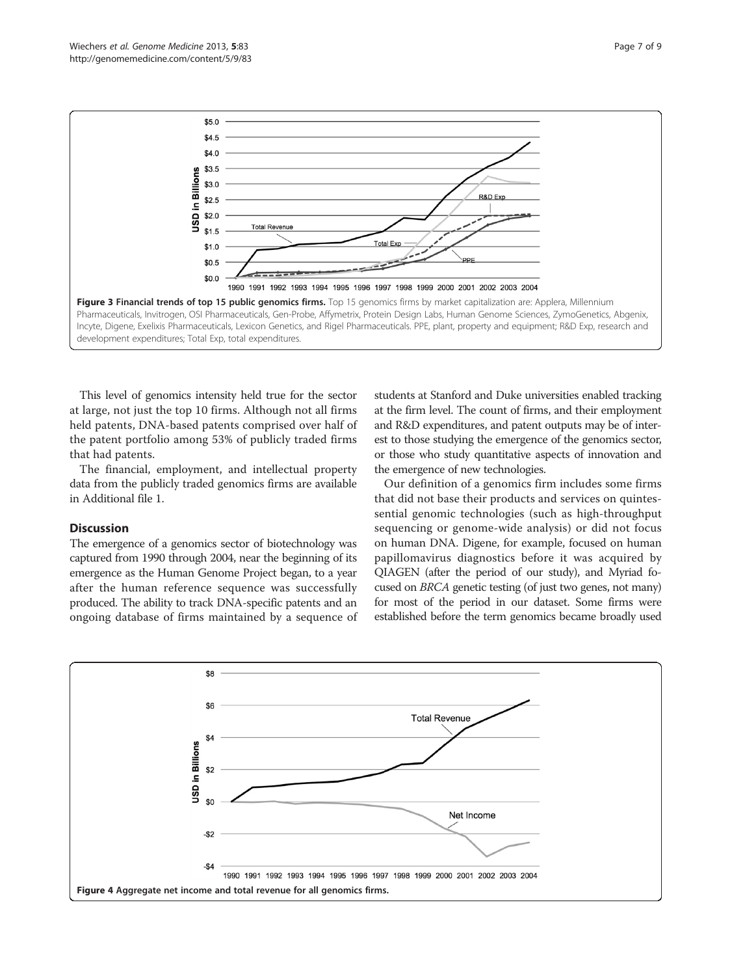<span id="page-6-0"></span>

This level of genomics intensity held true for the sector at large, not just the top 10 firms. Although not all firms held patents, DNA-based patents comprised over half of the patent portfolio among 53% of publicly traded firms that had patents.

The financial, employment, and intellectual property data from the publicly traded genomics firms are available in Additional file [1.](#page-8-0)

## **Discussion**

The emergence of a genomics sector of biotechnology was captured from 1990 through 2004, near the beginning of its emergence as the Human Genome Project began, to a year after the human reference sequence was successfully produced. The ability to track DNA-specific patents and an ongoing database of firms maintained by a sequence of students at Stanford and Duke universities enabled tracking at the firm level. The count of firms, and their employment and R&D expenditures, and patent outputs may be of interest to those studying the emergence of the genomics sector, or those who study quantitative aspects of innovation and the emergence of new technologies.

Our definition of a genomics firm includes some firms that did not base their products and services on quintessential genomic technologies (such as high-throughput sequencing or genome-wide analysis) or did not focus on human DNA. Digene, for example, focused on human papillomavirus diagnostics before it was acquired by QIAGEN (after the period of our study), and Myriad focused on BRCA genetic testing (of just two genes, not many) for most of the period in our dataset. Some firms were established before the term genomics became broadly used

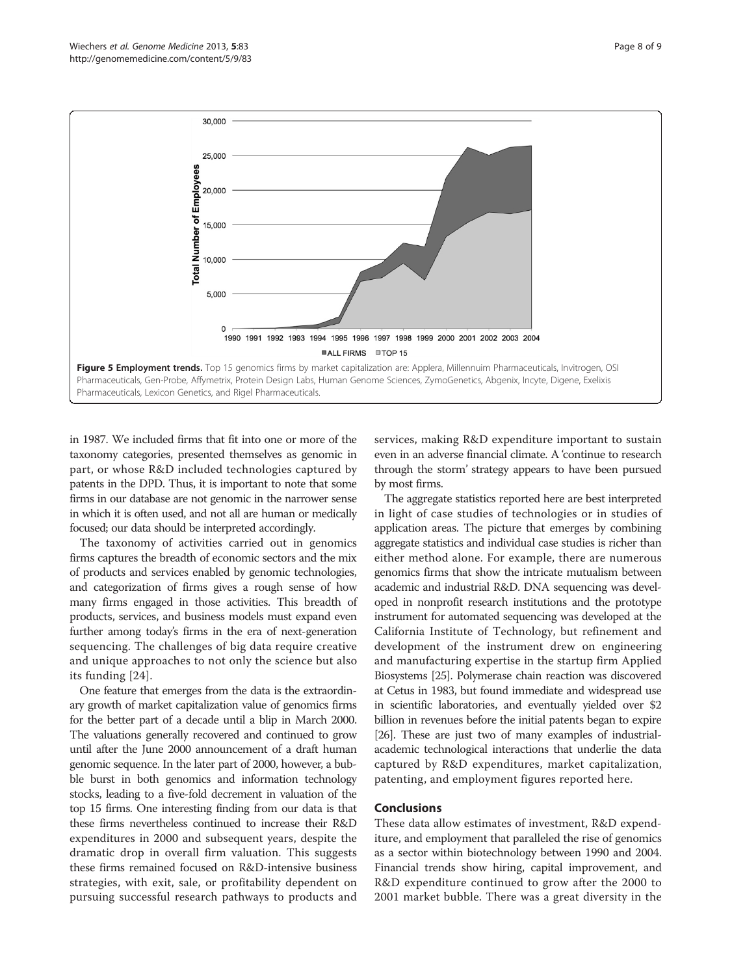<span id="page-7-0"></span>

in 1987. We included firms that fit into one or more of the taxonomy categories, presented themselves as genomic in part, or whose R&D included technologies captured by patents in the DPD. Thus, it is important to note that some firms in our database are not genomic in the narrower sense in which it is often used, and not all are human or medically focused; our data should be interpreted accordingly.

The taxonomy of activities carried out in genomics firms captures the breadth of economic sectors and the mix of products and services enabled by genomic technologies, and categorization of firms gives a rough sense of how many firms engaged in those activities. This breadth of products, services, and business models must expand even further among today's firms in the era of next-generation sequencing. The challenges of big data require creative and unique approaches to not only the science but also its funding [\[24\]](#page-8-0).

One feature that emerges from the data is the extraordinary growth of market capitalization value of genomics firms for the better part of a decade until a blip in March 2000. The valuations generally recovered and continued to grow until after the June 2000 announcement of a draft human genomic sequence. In the later part of 2000, however, a bubble burst in both genomics and information technology stocks, leading to a five-fold decrement in valuation of the top 15 firms. One interesting finding from our data is that these firms nevertheless continued to increase their R&D expenditures in 2000 and subsequent years, despite the dramatic drop in overall firm valuation. This suggests these firms remained focused on R&D-intensive business strategies, with exit, sale, or profitability dependent on pursuing successful research pathways to products and services, making R&D expenditure important to sustain even in an adverse financial climate. A 'continue to research through the storm' strategy appears to have been pursued by most firms.

The aggregate statistics reported here are best interpreted in light of case studies of technologies or in studies of application areas. The picture that emerges by combining aggregate statistics and individual case studies is richer than either method alone. For example, there are numerous genomics firms that show the intricate mutualism between academic and industrial R&D. DNA sequencing was developed in nonprofit research institutions and the prototype instrument for automated sequencing was developed at the California Institute of Technology, but refinement and development of the instrument drew on engineering and manufacturing expertise in the startup firm Applied Biosystems [\[25\]](#page-8-0). Polymerase chain reaction was discovered at Cetus in 1983, but found immediate and widespread use in scientific laboratories, and eventually yielded over \$2 billion in revenues before the initial patents began to expire [[26](#page-8-0)]. These are just two of many examples of industrialacademic technological interactions that underlie the data captured by R&D expenditures, market capitalization, patenting, and employment figures reported here.

## Conclusions

These data allow estimates of investment, R&D expenditure, and employment that paralleled the rise of genomics as a sector within biotechnology between 1990 and 2004. Financial trends show hiring, capital improvement, and R&D expenditure continued to grow after the 2000 to 2001 market bubble. There was a great diversity in the